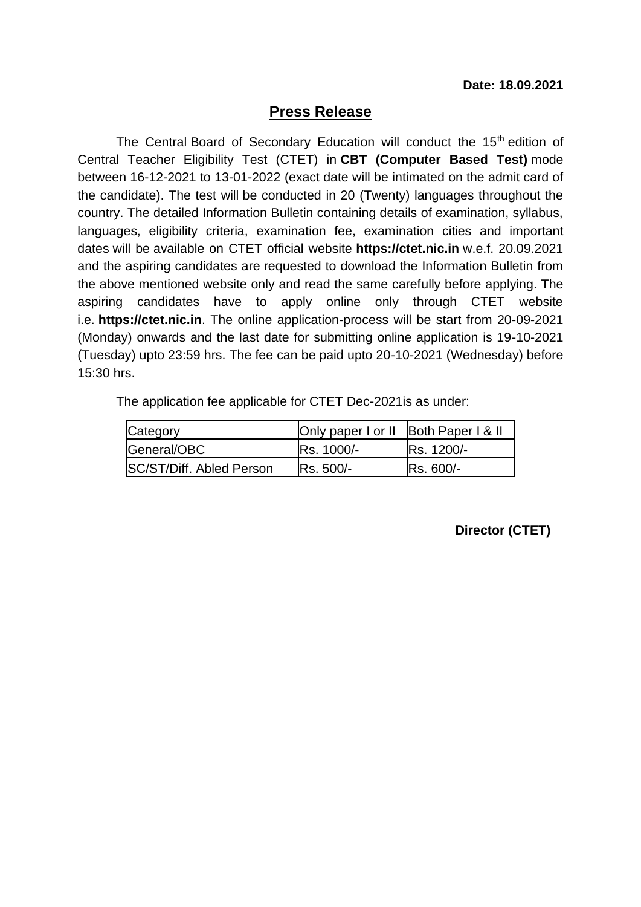## **Press Release**

The Central Board of Secondary Education will conduct the 15<sup>th</sup> edition of Central Teacher Eligibility Test (CTET) in **CBT (Computer Based Test)** mode between 16-12-2021 to 13-01-2022 (exact date will be intimated on the admit card of the candidate). The test will be conducted in 20 (Twenty) languages throughout the country. The detailed Information Bulletin containing details of examination, syllabus, languages, eligibility criteria, examination fee, examination cities and important dates will be available on CTET official website **https://ctet.nic.in** w.e.f. 20.09.2021 and the aspiring candidates are requested to download the Information Bulletin from the above mentioned website only and read the same carefully before applying. The aspiring candidates have to apply online only through CTET website i.e. **https://ctet.nic.in**. The online application-process will be start from 20-09-2021 (Monday) onwards and the last date for submitting online application is 19-10-2021 (Tuesday) upto 23:59 hrs. The fee can be paid upto 20-10-2021 (Wednesday) before 15:30 hrs.

The application fee applicable for CTET Dec-2021is as under:

| Category                        | Only paper I or II Both Paper I & II |                   |
|---------------------------------|--------------------------------------|-------------------|
| General/OBC                     | <b>Rs. 1000/-</b>                    | <b>Rs. 1200/-</b> |
| <b>SC/ST/Diff. Abled Person</b> | <b>IRs. 500/-</b>                    | <b>Rs. 600/-</b>  |

 **Director (CTET)**